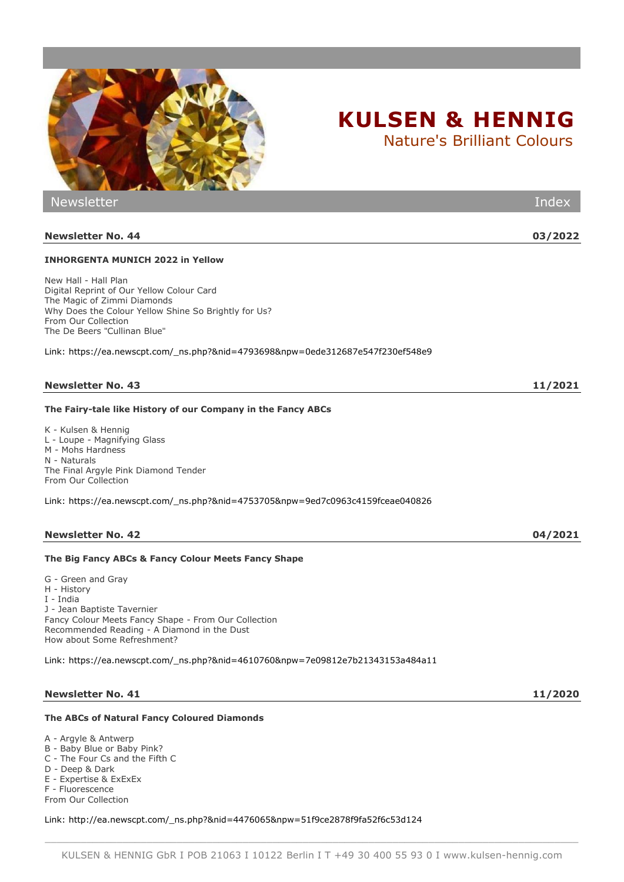

Nature's Brilliant Colours

Newsletter Index

# **Newsletter No. 44 03/2022**

# **INHORGENTA MUNICH 2022 in Yellow**

Digital Reprint of Our Yellow Colour Card The Magic of Zimmi Diamonds From Our Collection The De Beers "Cullinan Blue"

Link: https://ea.newscpt.com/\_ns.php?&nid=4793698&npw=0ede312687e547f230ef548e9

# **The Fairy-tale like History of our Company in the Fancy ABCs**

K - Kulsen & Hennig L - Loupe - Magnifying Glass M - Mohs Hardness N - Naturals From Our Collection

Link: https://ea.newscpt.com/\_ns.php?&nid=4753705&npw=9ed7c0963c4159fceae040826

# **The Big Fancy ABCs & Fancy Colour Meets Fancy Shape**

G - Green and Gray H - History I - India J - Jean Baptiste Tavernier Recommended Reading - A Diamond in the Dust How about Some Refreshment?

Link: https://ea.newscpt.com/\_ns.php?&nid=4610760&npw=7e09812e7b21343153a484a11

# **Newsletter No. 41 11/2020**

# **The ABCs of Natural Fancy Coloured Diamonds**

A - Argyle & Antwerp

- B Baby Blue or Baby Pink? C - The Four Cs and the Fifth C
- D Deep & Dark
- E Expertise & ExExEx
- F Fluorescence

From Our Collection

Link: http://ea.newscpt.com/\_ns.php?&nid=4476065&npw=51f9ce2878f9fa52f6c53d124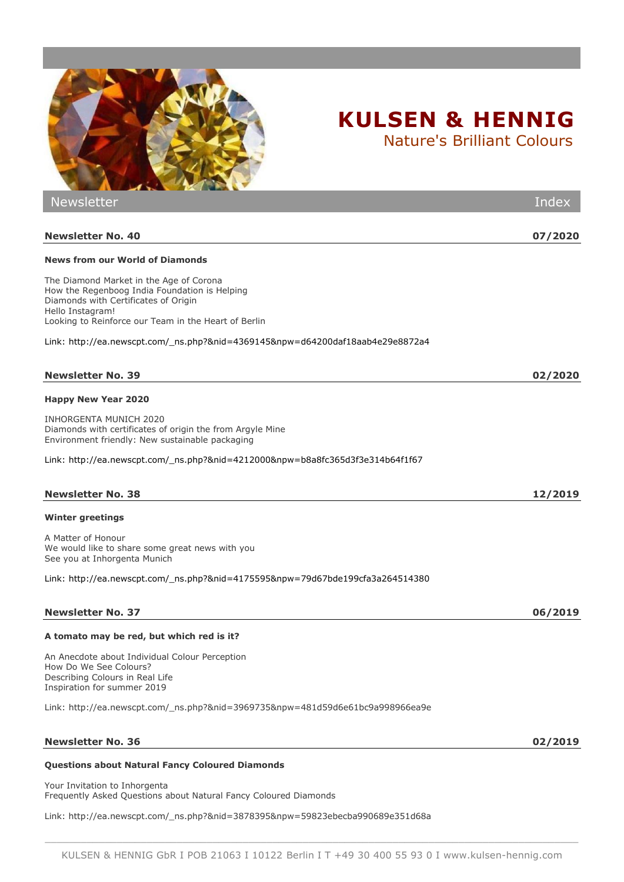| <b>CONTRACTOR STATE OF STATE OF STATE OF STATE OF STATE OF STATE OF STATE OF STATE OF STATE OF STATE OF STATE OF STATE</b>                                                                                                                                                                     |         |
|------------------------------------------------------------------------------------------------------------------------------------------------------------------------------------------------------------------------------------------------------------------------------------------------|---------|
| <b>Newsletter</b>                                                                                                                                                                                                                                                                              | Index   |
| <b>Newsletter No. 40</b>                                                                                                                                                                                                                                                                       | 07/2020 |
| <b>News from our World of Diamonds</b>                                                                                                                                                                                                                                                         |         |
| The Diamond Market in the Age of Corona<br>How the Regenboog India Foundation is Helping<br>Diamonds with Certificates of Origin<br>Hello Instagram!<br>Looking to Reinforce our Team in the Heart of Berlin<br>Link: http://ea.newscpt.com/_ns.php?&nid=4369145&npw=d64200daf18aab4e29e8872a4 |         |
|                                                                                                                                                                                                                                                                                                |         |
| <b>Newsletter No. 39</b>                                                                                                                                                                                                                                                                       | 02/2020 |
| <b>Happy New Year 2020</b>                                                                                                                                                                                                                                                                     |         |
| INHORGENTA MUNICH 2020<br>Diamonds with certificates of origin the from Argyle Mine<br>Environment friendly: New sustainable packaging                                                                                                                                                         |         |
| Link: http://ea.newscpt.com/_ns.php?&nid=4212000&npw=b8a8fc365d3f3e314b64f1f67                                                                                                                                                                                                                 |         |
| <b>Newsletter No. 38</b>                                                                                                                                                                                                                                                                       | 12/2019 |
| Winter greetings                                                                                                                                                                                                                                                                               |         |

A Matter of Honour We would like to share some great news with you See you at Inhorgenta Munich

Link: http://ea.newscpt.com/\_ns.php?&nid=4175595&npw=79d67bde199cfa3a264514380

### **Newsletter No. 37 06/2019**

### **A tomato may be red, but which red is it?**

An Anecdote about Individual Colour Perception How Do We See Colours? Describing Colours in Real Life Inspiration for summer 2019

Link: http://ea.newscpt.com/\_ns.php?&nid=3969735&npw=481d59d6e61bc9a998966ea9e

#### **Newsletter No. 36 02/2019**

### **Questions about Natural Fancy Coloured Diamonds**

Your Invitation to Inhorgenta Frequently Asked Questions about Natural Fancy Coloured Diamonds

Link: http://ea.newscpt.com/\_ns.php?&nid=3878395&npw=59823ebecba990689e351d68a

# \_\_\_\_\_\_\_\_\_\_\_\_\_\_\_\_\_\_\_\_\_\_\_\_\_\_\_\_\_\_\_\_\_\_\_\_\_\_\_\_\_\_\_\_\_\_\_\_\_\_\_\_\_\_\_\_\_\_\_\_\_\_\_\_\_\_\_\_\_\_\_\_\_\_\_\_\_\_\_\_\_\_\_\_\_\_\_\_\_ KULSEN & HENNIG GbR I POB 21063 I 10122 Berlin I T +49 30 400 55 93 0 I www.kulsen-hennig.com

**KULSEN & HENNIG** Nature's Brilliant Colours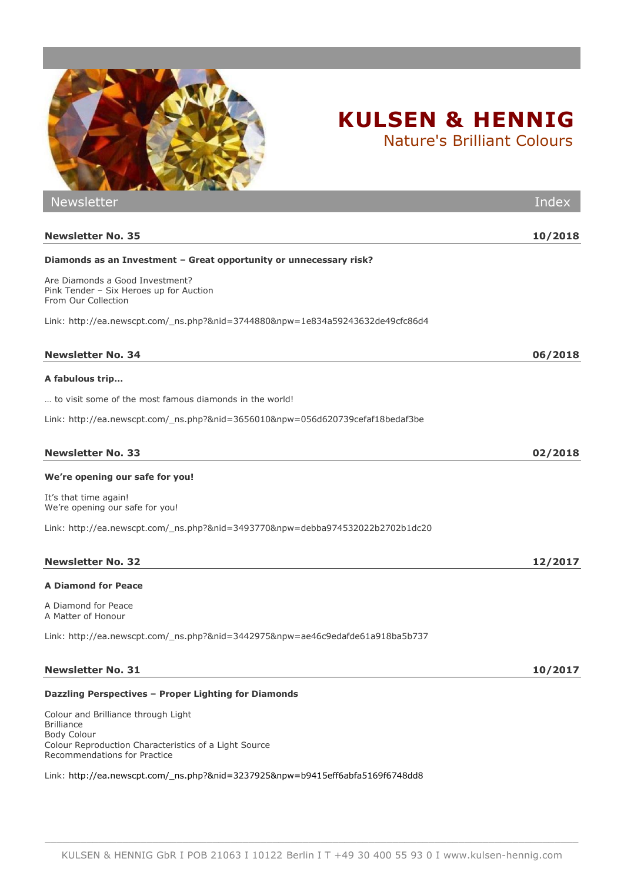

Newsletter Index **Newsletter No. 35 10/2018 Diamonds as an Investment – Great opportunity or unnecessary risk?** Are Diamonds a Good Investment? Pink Tender – Six Heroes up for Auction From Our Collection Link: http://ea.newscpt.com/\_ns.php?&nid=3744880&npw=1e834a59243632de49cfc86d4 **Newsletter No. 34 06/2018 A fabulous trip…** … to visit some of the most famous diamonds in the world! Link: http://ea.newscpt.com/\_ns.php?&nid=3656010&npw=056d620739cefaf18bedaf3be **Newsletter No. 33 02/2018 We're opening our safe for you!** It's that time again! We're opening our safe for you! Link: http://ea.newscpt.com/\_ns.php?&nid=3493770&npw=debba974532022b2702b1dc20 **Newsletter No. 32 12/2017 A Diamond for Peace** A Diamond for Peace A Matter of Honour Link: http://ea.newscpt.com/\_ns.php?&nid=3442975&npw=ae46c9edafde61a918ba5b737 **Newsletter No. 31 10/2017 Dazzling Perspectives – Proper Lighting for Diamonds**

Colour and Brilliance through Light Brilliance Body Colour Colour Reproduction Characteristics of a Light Source Recommendations for Practice

Link: http://ea.newscpt.com/\_ns.php?&nid=3237925&npw=b9415eff6abfa5169f6748dd8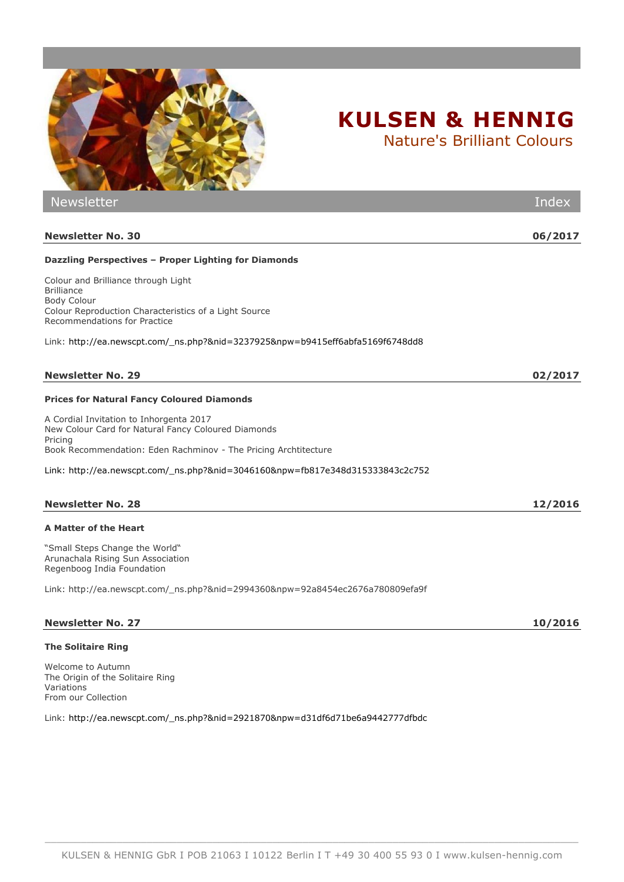

Nature's Brilliant Colours

| <b>Newsletter</b>                                                                                                                                                       | Index   |
|-------------------------------------------------------------------------------------------------------------------------------------------------------------------------|---------|
| <b>Newsletter No. 30</b>                                                                                                                                                | 06/2017 |
| Dazzling Perspectives - Proper Lighting for Diamonds                                                                                                                    |         |
| Colour and Brilliance through Light<br><b>Brilliance</b><br><b>Body Colour</b><br>Colour Reproduction Characteristics of a Light Source<br>Recommendations for Practice |         |
| Link: http://ea.newscpt.com/_ns.php?&nid=3237925&npw=b9415eff6abfa5169f6748dd8                                                                                          |         |
| <b>Newsletter No. 29</b>                                                                                                                                                | 02/2017 |
| <b>Prices for Natural Fancy Coloured Diamonds</b>                                                                                                                       |         |
| A Cordial Invitation to Inhorgenta 2017<br>New Colour Card for Natural Fancy Coloured Diamonds<br>Pricing                                                               |         |
| Book Recommendation: Eden Rachminov - The Pricing Archtitecture<br>Link: http://ea.newscpt.com/_ns.php?&nid=3046160&npw=fb817e348d315333843c2c752                       |         |
|                                                                                                                                                                         |         |
| <b>Newsletter No. 28</b>                                                                                                                                                | 12/2016 |
| A Matter of the Heart                                                                                                                                                   |         |
| "Small Steps Change the World"<br>Arunachala Rising Sun Association<br>Regenboog India Foundation                                                                       |         |
| Link: http://ea.newscpt.com/_ns.php?&nid=2994360&npw=92a8454ec2676a780809efa9f                                                                                          |         |
| <b>Newsletter No. 27</b>                                                                                                                                                | 10/2016 |
| <b>The Solitaire Ring</b>                                                                                                                                               |         |
| Welcome to Autumn<br>The Origin of the Solitaire Ring<br>Variations                                                                                                     |         |

riations From our Collection

Link: http://ea.newscpt.com/\_ns.php?&nid=2921870&npw=d31df6d71be6a9442777dfbdc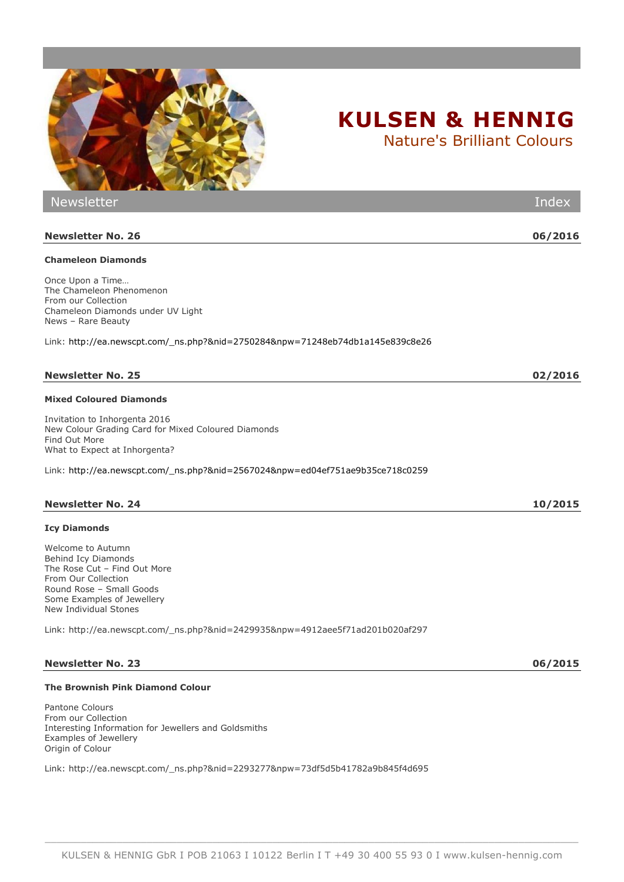

# **Newsletter No. 26 06/2016**

# **Chameleon Diamonds**

Once Upon a Time… The Chameleon Phenomenon From our Collection Chameleon Diamonds under UV Light News – Rare Beauty

Link: [http://ea.newscpt.com/\\_ns.php?&nid=2750284&npw=71248eb74db1a145e839c8e26](http://ea.newscpt.com/_ns.php?&nid=2750284&npw=71248eb74db1a145e839c8e26)

Newsletter Index

# **Newsletter No. 25 02/2016**

# **Mixed Coloured Diamonds**

Invitation to Inhorgenta 2016 New Colour Grading Card for Mixed Coloured Diamonds Find Out More What to Expect at Inhorgenta?

Link: [http://ea.newscpt.com/\\_ns.php?&nid=2567024&npw=ed04ef751ae9b35ce718c0259](http://ea.newscpt.com/_ns.php?&nid=2567024&npw=ed04ef751ae9b35ce718c0259)

The Rose Cut – Find Out More From Our Collection Round Rose – Small Goods Some Examples of Jewellery New Individual Stones

Link: http://ea.newscpt.com/\_ns.php?&nid=2429935&npw=4912aee5f71ad201b020af297

# **Newsletter No. 23 06/2015**

# **The Brownish Pink Diamond Colour**

Pantone Colours From our Collection Interesting Information for Jewellers and Goldsmiths Examples of Jewellery Origin of Colour

Link: http://ea.newscpt.com/\_ns.php?&nid=2293277&npw=73df5d5b41782a9b845f4d695

|  |  |  | KULSEN & HENNIG GbR I POB 21063 I 10122 Berlin I T +49 30 400 55 93 0 I www.kulsen-hennig.com |
|--|--|--|-----------------------------------------------------------------------------------------------|
|  |  |  |                                                                                               |

\_\_\_\_\_\_\_\_\_\_\_\_\_\_\_\_\_\_\_\_\_\_\_\_\_\_\_\_\_\_\_\_\_\_\_\_\_\_\_\_\_\_\_\_\_\_\_\_\_\_\_\_\_\_\_\_\_\_\_\_\_\_\_\_\_\_\_\_\_\_\_\_\_\_\_\_\_\_\_\_\_\_\_\_\_\_\_\_\_

# **KULSEN & HENNIG**

Nature's Brilliant Colours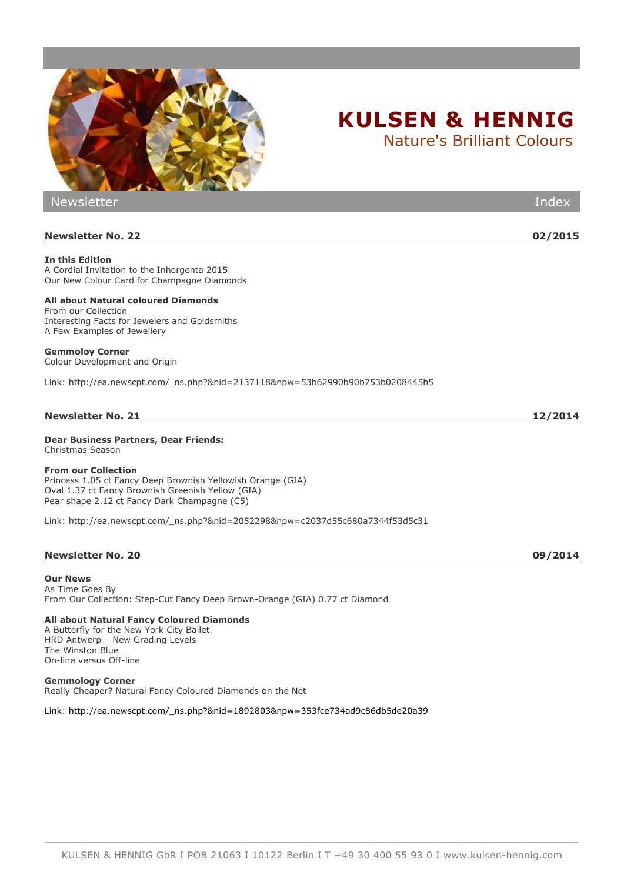

#### **All about Natural coloured Diamonds** From our Collection [Interesting Facts for Jewelers and Goldsmiths](http://www.sendcockpit.com/appl/ce/software/code/ext/_ns.php?&uid=fe20236b1f5692f260280eedcfbb5c40#578411) A Few Examples of Jewellery

#### **Gemmoloy Corner**

Colour Development and Origin

Link: http://ea.newscpt.com/\_ns.php?&nid=2137118&npw=53b62990b90b753b0208445b5

#### **Newsletter No. 21 12/2014**

**Dear Business Partners, Dear Friends:** Christmas Season

#### **From our Collection**

Princess 1.05 ct Fancy Deep Brownish Yellowish Orange (GIA) Oval 1.37 ct Fancy Brownish Greenish Yellow (GIA) Pear shape 2.12 ct Fancy Dark Champagne (C5)

Link: http://ea.newscpt.com/\_ns.php?&nid=2052298&npw=c2037d55c680a7344f53d5c31

#### **Newsletter No. 20 09/2014**

**Our News** [As Time Goes By](http://www.sendcockpit.com/appl/ce/software/code/NewsletterPreview.php?&c=tBYYJpXWxmkLRKxG6hW2GfrYp1SR8zdT&session=f8e8be54e454f916e02600b0910855f5&b=b452db86bd1e23c34cfd9d338b5d5441&ssl=&id_tdat_newsletter=1892803#326172) From Our Collection: Step-Cut Fancy Deep Brown-Orange (GIA) 0.77 ct Diamond

#### **All about Natural Fancy Coloured Diamonds**

A Butterfly for the New York City Ballet HRD Antwerp – New Grading Levels The Winston Blue On-line versus Off-line

**Gemmology Corner** Really Cheaper? Natural Fancy Coloured Diamonds on the Net

Link: [http://ea.newscpt.com/\\_ns.php?&nid=1892803&npw=353fce734ad9c86db5de20a39](http://ea.newscpt.com/_ns.php?&nid=1892803&npw=353fce734ad9c86db5de20a39)

# **KULSEN & HENNIG**

Nature's Brilliant Colours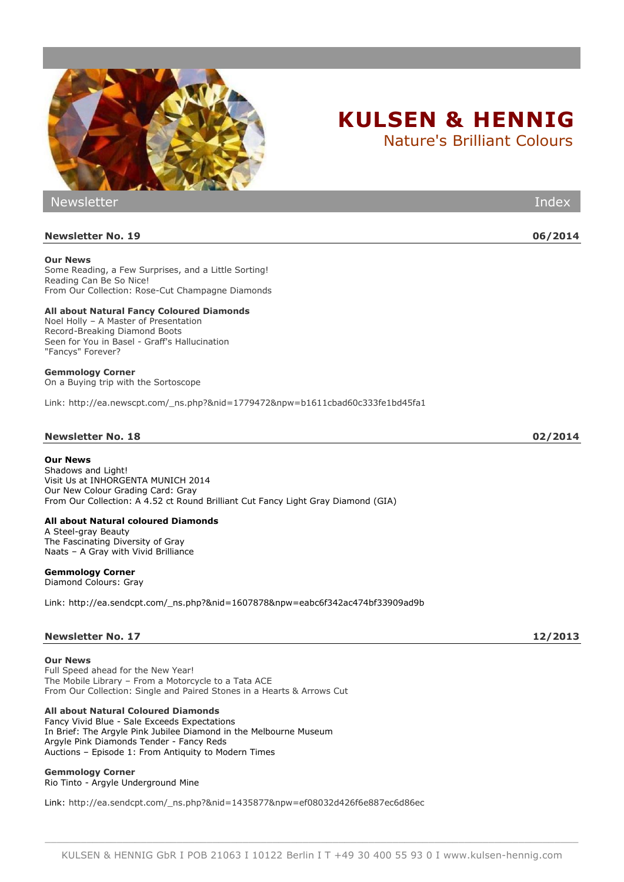

Newsletter Index **Newsletter No. 19 06/2014 Our News** Some Reading, a Few Surprises, and a Little Sorting! Reading Can Be So Nice! From Our Collection: Rose-Cut Champagne Diamonds **All about Natural Fancy Coloured Diamonds** Noel Holly – A Master of Presentation Record-Breaking Diamond Boots Seen for You in Basel - Graff's Hallucination "Fancys" Forever? **Gemmology Corner**  On a Buying trip with the Sortoscope Link: [http://ea.newscpt.com/\\_ns.php?&nid=1779472&npw=b1611cbad60c333fe1bd45fa1](http://ea.newscpt.com/_ns.php?&nid=1779472&npw=b1611cbad60c333fe1bd45fa1) **Newsletter No. 18 02/2014**

#### **Our News**

[Shadows and Light!](http://ea.sendcpt.com/_ns.php?&nid=1607878&npw=eabc6f342ac474bf33909ad9b#326172) [Visit Us at INHORGENTA MUNICH 2014](http://ea.sendcpt.com/_ns.php?&nid=1607878&npw=eabc6f342ac474bf33909ad9b#326172) [Our New Colour Grading Card: Gray](http://ea.sendcpt.com/_ns.php?&nid=1607878&npw=eabc6f342ac474bf33909ad9b#631292) [From Our Collection: A 4.52 ct Round Brilliant Cut Fancy Light Gray Diamond \(GIA\)](http://ea.sendcpt.com/_ns.php?&nid=1607878&npw=eabc6f342ac474bf33909ad9b#597695)

#### **All about Natural coloured Diamonds**

[A Steel-gray Beauty](http://ea.sendcpt.com/_ns.php?&nid=1607878&npw=eabc6f342ac474bf33909ad9b#957654) [The Fascinating Diversity of Gray](http://ea.sendcpt.com/_ns.php?&nid=1607878&npw=eabc6f342ac474bf33909ad9b#129675) Naats – [A Gray with Vivid Brilliance](http://ea.sendcpt.com/_ns.php?&nid=1607878&npw=eabc6f342ac474bf33909ad9b#638114)

### **Gemmology Corner**

[Diamond Colours: Gray](http://ea.sendcpt.com/_ns.php?&nid=1607878&npw=eabc6f342ac474bf33909ad9b#819982)

Link: [http://ea.sendcpt.com/\\_ns.php?&nid=1607878&npw=eabc6f342ac474bf33909ad9b](http://ea.sendcpt.com/_ns.php?&nid=1607878&npw=eabc6f342ac474bf33909ad9b)

### **Newsletter No. 17 12/2013**

**Our News**

Full Speed ahead for the New Year! The Mobile Library – From a Motorcycle to a Tata ACE From Our Collection: Single and Paired Stones in a Hearts & Arrows Cut

### **All about Natural Coloured Diamonds**

Fancy Vivid Blue - Sale Exceeds Expectations In Brief: The Argyle Pink Jubilee Diamond in the Melbourne Museum Argyle Pink Diamonds Tender - Fancy Reds Auctions – Episode 1: From Antiquity to Modern Times

**Gemmology Corner** Rio Tinto - Argyle Underground Mine

Link: [http://ea.sendcpt.com/\\_ns.php?&nid=1435877&npw=ef08032d426f6e887ec6d86ec](http://ea.sendcpt.com/_ns.php?&nid=1435877&npw=ef08032d426f6e887ec6d86ec)

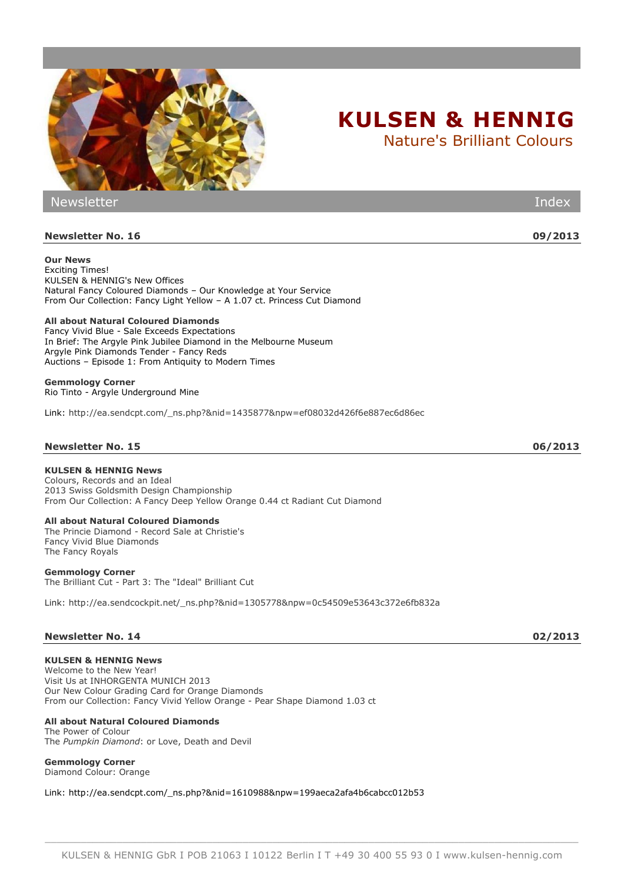

| <b>Contract Address Contract of the Contract Order</b>                                                                                                                                                                     |         |
|----------------------------------------------------------------------------------------------------------------------------------------------------------------------------------------------------------------------------|---------|
| <b>Newsletter</b>                                                                                                                                                                                                          | Index   |
|                                                                                                                                                                                                                            |         |
| <b>Newsletter No. 16</b>                                                                                                                                                                                                   | 09/2013 |
| <b>Our News</b><br><b>Exciting Times!</b><br>KULSEN & HENNIG's New Offices<br>Natural Fancy Coloured Diamonds - Our Knowledge at Your Service<br>From Our Collection: Fancy Light Yellow - A 1.07 ct. Princess Cut Diamond |         |
| All about Natural Coloured Diamonds<br>Fancy Vivid Blue - Sale Exceeds Expectations<br>In Brief: The Argyle Pink Jubilee Diamond in the Melbourne Museum<br>Argyle Pink Diamonds Tender - Fancy Reds                       |         |

Auctions – Episode 1: From Antiquity to Modern Times

**Gemmology Corner** Rio Tinto - Argyle Underground Mine

Link: [http://ea.sendcpt.com/\\_ns.php?&nid=1435877&npw=ef08032d426f6e887ec6d86ec](http://ea.sendcpt.com/_ns.php?&nid=1435877&npw=ef08032d426f6e887ec6d86ec)

## **Newsletter No. 15 06/2013**

## **KULSEN & HENNIG News**

Colours, Records and an Ideal 2013 Swiss Goldsmith Design Championship From Our Collection: A Fancy Deep Yellow Orange 0.44 ct Radiant Cut Diamond

#### **All about Natural Coloured Diamonds**

The Princie Diamond - Record Sale at Christie's Fancy Vivid Blue Diamonds The Fancy Royals

#### **Gemmology Corner**

The Brilliant Cut - Part 3: The "Ideal" Brilliant Cut

Link: http://ea.sendcockpit.net/\_ns.php?&nid=1305778&npw=0c54509e53643c372e6fb832a

#### **Newsletter No. 14 02/2013**

## **KULSEN & HENNIG News**

Welcome to the New Year! Visit Us at INHORGENTA MUNICH 2013 Our New Colour Grading Card for Orange Diamonds From our Collection: Fancy Vivid Yellow Orange - Pear Shape Diamond 1.03 ct

#### **All about Natural Coloured Diamonds**

The Power of Colour The *Pumpkin Diamond*: or Love, Death and Devil

### **Gemmology Corner**

Diamond Colour: Orange

Link: [http://ea.sendcpt.com/\\_ns.php?&nid=1610988&npw=199aeca2afa4b6cabcc012b53](http://ea.sendcpt.com/_ns.php?&nid=1610988&npw=199aeca2afa4b6cabcc012b53)

KULSEN & HENNIG GbR I POB 21063 I 10122 Berlin I T +49 30 400 55 93 0 I www.kulsen-hennig.com

\_\_\_\_\_\_\_\_\_\_\_\_\_\_\_\_\_\_\_\_\_\_\_\_\_\_\_\_\_\_\_\_\_\_\_\_\_\_\_\_\_\_\_\_\_\_\_\_\_\_\_\_\_\_\_\_\_\_\_\_\_\_\_\_\_\_\_\_\_\_\_\_\_\_\_\_\_\_\_\_\_\_\_\_\_\_\_\_\_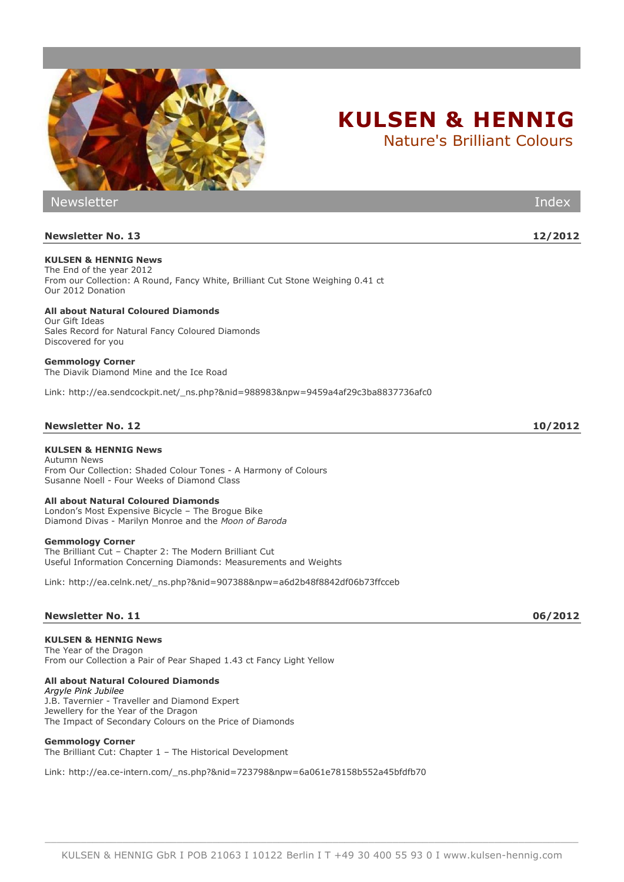

Nature's Brilliant Colours

| <b>Newsletter</b>                                                                                                                                                       | Index   |
|-------------------------------------------------------------------------------------------------------------------------------------------------------------------------|---------|
| <b>Newsletter No. 13</b>                                                                                                                                                | 12/2012 |
| <b>KULSEN &amp; HENNIG News</b><br>The End of the year 2012<br>From our Collection: A Round, Fancy White, Brilliant Cut Stone Weighing 0.41 ct<br>Our 2012 Donation     |         |
| <b>All about Natural Coloured Diamonds</b><br>Our Gift Ideas<br>Sales Record for Natural Fancy Coloured Diamonds<br>Discovered for you                                  |         |
| <b>Gemmology Corner</b><br>The Diavik Diamond Mine and the Ice Road                                                                                                     |         |
| Link: http://ea.sendcockpit.net/ ns.php?&nid=988983&npw=9459a4af29c3ba8837736afc0                                                                                       |         |
| <b>Newsletter No. 12</b>                                                                                                                                                | 10/2012 |
| <b>KULSEN &amp; HENNIG News</b><br><b>Autumn News</b><br>From Our Collection: Shaded Colour Tones - A Harmony of Colours<br>Susanne Noell - Four Weeks of Diamond Class |         |
| All about Natural Coloured Diamonds<br>London's Most Expensive Bicycle - The Brogue Bike<br>Diamond Divas - Marilyn Monroe and the Moon of Baroda                       |         |
| <b>Gemmology Corner</b>                                                                                                                                                 |         |

The Brilliant Cut – Chapter 2: The Modern Brilliant Cut Useful Information Concerning Diamonds: Measurements and Weights

Link: [http://ea.celnk.net/\\_ns.php?&nid=907388&npw=a6d2b48f8842df06b73ffcceb](http://ea.celnk.net/_ns.php?&nid=907388&npw=a6d2b48f8842df06b73ffcceb)

## **Newsletter No. 11 06/2012**

#### **KULSEN & HENNIG News**

The Year of the Dragon From our Collection a Pair of Pear Shaped 1.43 ct Fancy Light Yellow

## **All about Natural Coloured Diamonds**

*Argyle Pink Jubilee* J.B. Tavernier - Traveller and Diamond Expert Jewellery for the Year of the Dragon The Impact of Secondary Colours on the Price of Diamonds

#### **Gemmology Corner**

The Brilliant Cut: Chapter 1 – The Historical Development

Link: [http://ea.ce-intern.com/\\_ns.php?&nid=723798&npw=6a061e78158b552a45bfdfb70](http://ea.ce-intern.com/_ns.php?&nid=723798&npw=6a061e78158b552a45bfdfb70)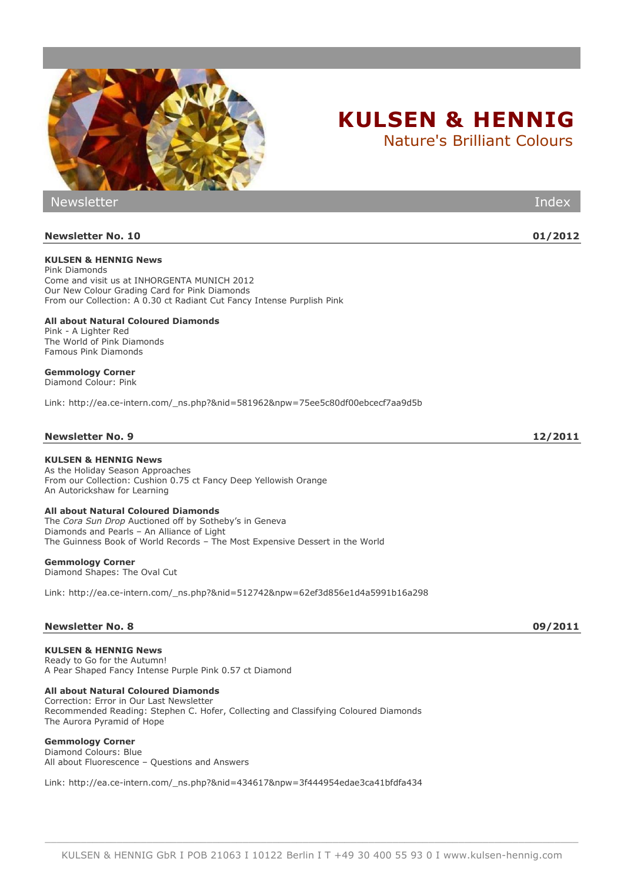

Newsletter Index

**Newsletter No. 10 01/2012**

# **KULSEN & HENNIG News**

**KULSEN & HENNIG News**

Come and visit us at INHORGENTA MUNICH 2012

Pink Diamonds

As the Holiday Season Approaches From our Collection: Cushion 0.75 ct Fancy Deep Yellowish Orange An Autorickshaw for Learning

# **All about Natural Coloured Diamonds**

The *Cora Sun Drop* Auctioned off by Sotheby's in Geneva Diamonds and Pearls – An Alliance of Light The Guinness Book of World Records – The Most Expensive Dessert in the World

# **Gemmology Corner**

Diamond Shapes: The Oval Cut

Link: [http://ea.ce-intern.com/\\_ns.php?&nid=512742&npw=62ef3d856e1d4a5991b16a298](http://ea.ce-intern.com/_ns.php?&nid=512742&npw=62ef3d856e1d4a5991b16a298)

# **Newsletter No. 8 09/2011**

**KULSEN & HENNIG News** Ready to Go for the Autumn! A Pear Shaped Fancy Intense Purple Pink 0.57 ct Diamond

**All about Natural Coloured Diamonds**

Correction: Error in Our Last Newsletter Recommended Reading: Stephen C. Hofer, Collecting and Classifying Coloured Diamonds The Aurora Pyramid of Hope

# **Gemmology Corner**

Diamond Colours: Blue All about Fluorescence – Questions and Answers

Link: [http://ea.ce-intern.com/\\_ns.php?&nid=434617&npw=3f444954edae3ca41bfdfa434](http://ea.ce-intern.com/_ns.php?&nid=434617&npw=3f444954edae3ca41bfdfa434)



Nature's Brilliant Colours

\_\_\_\_\_\_\_\_\_\_\_\_\_\_\_\_\_\_\_\_\_\_\_\_\_\_\_\_\_\_\_\_\_\_\_\_\_\_\_\_\_\_\_\_\_\_\_\_\_\_\_\_\_\_\_\_\_\_\_\_\_\_\_\_\_\_\_\_\_\_\_\_\_\_\_\_\_\_\_\_\_\_\_\_\_\_\_\_\_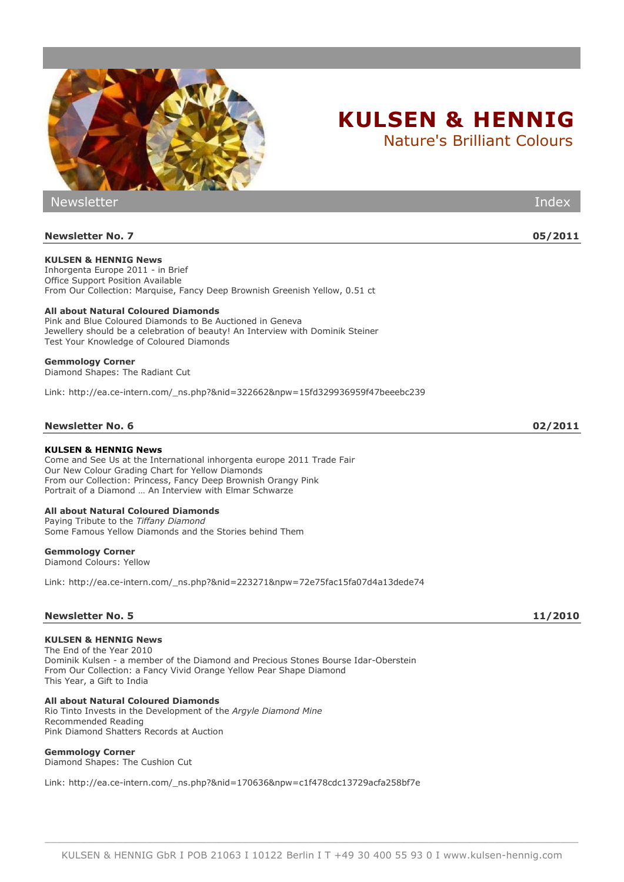

Newsletter Index **Newsletter No. 7 05/2011 KULSEN & HENNIG News** Inhorgenta Europe 2011 - in Brief Office Support Position Available From Our Collection: Marquise, Fancy Deep Brownish Greenish Yellow, 0.51 ct **All about Natural Coloured Diamonds** Pink and Blue Coloured Diamonds to Be Auctioned in Geneva Jewellery should be a celebration of beauty! An Interview with Dominik Steiner Test Your Knowledge of Coloured Diamonds **Gemmology Corner** Diamond Shapes: The Radiant Cut Link: [http://ea.ce-intern.com/\\_ns.php?&nid=322662&npw=15fd329936959f47beeebc239](http://ea.ce-intern.com/_ns.php?&nid=322662&npw=15fd329936959f47beeebc239) **Newsletter No. 6 02/2011 KULSEN & HENNIG News** Come and See Us at the International inhorgenta europe 2011 Trade Fair Our New Colour Grading Chart for Yellow Diamonds From our Collection: Princess, Fancy Deep Brownish Orangy Pink Portrait of a Diamond … An Interview with Elmar Schwarze **All about Natural Coloured Diamonds** Paying Tribute to the *Tiffany Diamond* Some Famous Yellow Diamonds and the Stories behind Them **Gemmology Corner** Diamond Colours: Yellow Link: [http://ea.ce-intern.com/\\_ns.php?&nid=223271&npw=72e75fac15fa07d4a13dede74](http://ea.ce-intern.com/_ns.php?&nid=223271&npw=72e75fac15fa07d4a13dede74)

### **Newsletter No. 5 11/2010**

#### **KULSEN & HENNIG News**

The End of the Year 2010 Dominik Kulsen - a member of the Diamond and Precious Stones Bourse Idar-Oberstein From Our Collection: a Fancy Vivid Orange Yellow Pear Shape Diamond This Year, a Gift to India

**All about Natural Coloured Diamonds** Rio Tinto Invests in the Development of the *Argyle Diamond Mine* Recommended Reading Pink Diamond Shatters Records at Auction

#### **Gemmology Corner**

Diamond Shapes: The Cushion Cut

Link: [http://ea.ce-intern.com/\\_ns.php?&nid=170636&npw=c1f478cdc13729acfa258bf7e](http://ea.ce-intern.com/_ns.php?&nid=170636&npw=c1f478cdc13729acfa258bf7e)

\_\_\_\_\_\_\_\_\_\_\_\_\_\_\_\_\_\_\_\_\_\_\_\_\_\_\_\_\_\_\_\_\_\_\_\_\_\_\_\_\_\_\_\_\_\_\_\_\_\_\_\_\_\_\_\_\_\_\_\_\_\_\_\_\_\_\_\_\_\_\_\_\_\_\_\_\_\_\_\_\_\_\_\_\_\_\_\_\_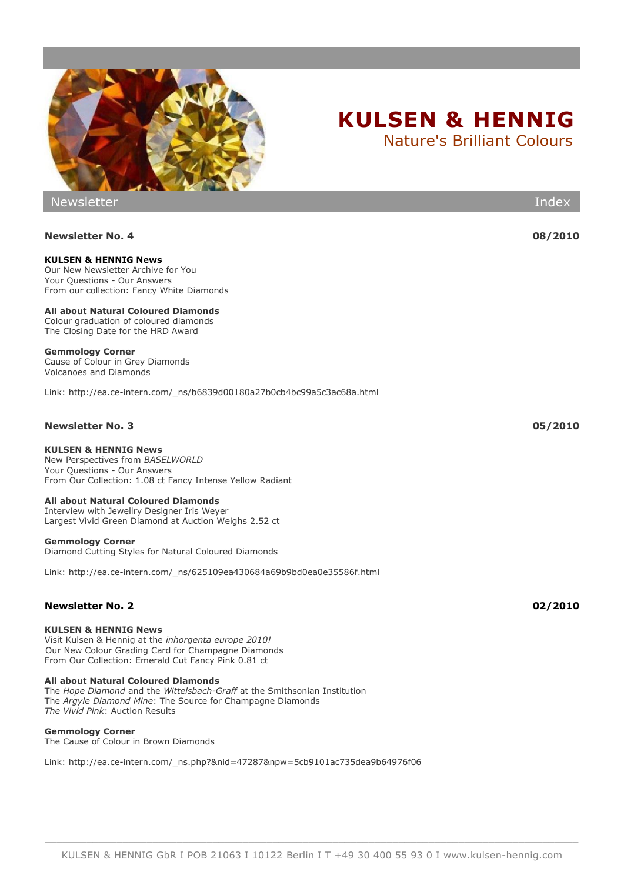

**KULSEN & HENNIG News** Our New Newsletter Archive for You Your Questions - Our Answers From our collection: Fancy White Diamonds

**All about Natural Coloured Diamonds** Colour graduation of coloured diamonds The Closing Date for the HRD Award

# **Gemmology Corner**

Cause of Colour in Grey Diamonds Volcanoes and Diamonds

Link: [http://ea.ce-intern.com/\\_ns/b6839d00180a27b0cb4bc99a5c3ac68a.html](http://ea.ce-intern.com/_ns/b6839d00180a27b0cb4bc99a5c3ac68a.html)

# **Newsletter No. 3 05/2010**

# **KULSEN & HENNIG News**

New Perspectives from *BASELWORLD* Your Questions - Our Answers From Our Collection: 1.08 ct Fancy Intense Yellow Radiant

# **All about Natural Coloured Diamonds**

Interview with Jewellry Designer Iris Weyer Largest Vivid Green Diamond at Auction Weighs 2.52 ct

# **Gemmology Corner**

Diamond Cutting Styles for Natural Coloured Diamonds

Link: [http://ea.ce-intern.com/\\_ns/625109ea430684a69b9bd0ea0e35586f.html](http://ea.ce-intern.com/_ns/625109ea430684a69b9bd0ea0e35586f.html)

# **Newsletter No. 2 02/2010**

# **KULSEN & HENNIG News**

Visit Kulsen & Hennig at the *inhorgenta europe 2010!* [Our New Colour Grading Card for Champagne Diamonds](http://ea.ce-intern.com/_ns.php?&nid=47287&npw=5cb9101ac735dea9b64976f06#717142) From Our Collection: Emerald Cut Fancy Pink 0.81 ct

# **All about Natural Coloured Diamonds**

The *Hope Diamond* and the *Wittelsbach-Graff* at the Smithsonian Institution The *Argyle Diamond Mine*: The Source for Champagne Diamonds *The Vivid Pink*: Auction Results

# **Gemmology Corner**

The Cause of Colour in Brown Diamonds Link: [http://ea.ce-intern.com/\\_ns.php?&nid=47287&npw=5cb9101ac735dea9b64976f06](http://ea.ce-intern.com/_ns.php?&nid=47287&npw=5cb9101ac735dea9b64976f06)

**Newsletter No. 4 08/2010**

Newsletter Index



**KULSEN & HENNIG**

Nature's Brilliant Colours